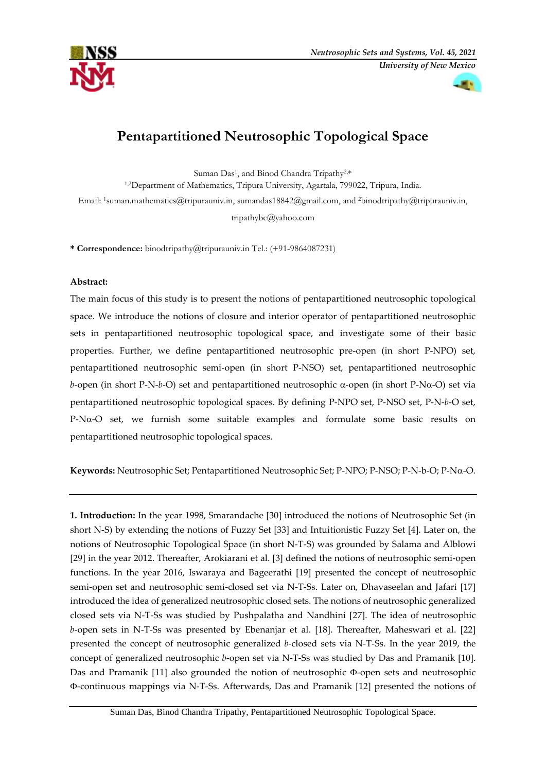



# **Pentapartitioned Neutrosophic Topological Space**

Suman Das<sup>1</sup>, and Binod Chandra Tripathy<sup>2,\*</sup>

1,2Department of Mathematics, Tripura University, Agartala, 799022, Tripura, India.

Email: <sup>1</sup>[suman.mathematics@tripurauniv.in,](mailto:1suman.mathematics@tripurauniv.in) [sumandas18842@gmail.com,](mailto:sumandas18842@gmail.com) and <sup>2</sup>binodtripathy@tripurauniv.in,

[tripathybc@yahoo.com](mailto:tripathybc@yahoo.com)

**\* Correspondence:** binodtripathy@tripurauniv.in Tel.: (+91-9864087231)

## **Abstract:**

The main focus of this study is to present the notions of pentapartitioned neutrosophic topological space. We introduce the notions of closure and interior operator of pentapartitioned neutrosophic sets in pentapartitioned neutrosophic topological space, and investigate some of their basic properties. Further, we define pentapartitioned neutrosophic pre-open (in short P-NPO) set, pentapartitioned neutrosophic semi-open (in short P-NSO) set, pentapartitioned neutrosophic *b*-open (in short P-N-*b*-O) set and pentapartitioned neutrosophic  $\alpha$ -open (in short P-N $\alpha$ -O) set via pentapartitioned neutrosophic topological spaces. By defining P-NPO set, P-NSO set, P-N-*b*-O set,  $P-N\alpha$ -O set, we furnish some suitable examples and formulate some basic results on pentapartitioned neutrosophic topological spaces.

**Keywords:** Neutrosophic Set; Pentapartitioned Neutrosophic Set; P-NPO; P-NSO; P-N-b-O; P-N-O.

**1. Introduction:** In the year 1998, Smarandache [30] introduced the notions of Neutrosophic Set (in short N-S) by extending the notions of Fuzzy Set [33] and Intuitionistic Fuzzy Set [4]*.* Later on, the notions of Neutrosophic Topological Space (in short N-T-S) was grounded by Salama and Alblowi [29] in the year 2012. Thereafter, Arokiarani et al. [3] defined the notions of neutrosophic semi-open functions. In the year 2016, Iswaraya and Bageerathi [19] presented the concept of neutrosophic semi-open set and neutrosophic semi-closed set via N-T-Ss. Later on, Dhavaseelan and Jafari [17] introduced the idea of generalized neutrosophic closed sets. The notions of neutrosophic generalized closed sets via N-T-Ss was studied by Pushpalatha and Nandhini [27]. The idea of neutrosophic *b*-open sets in N-T-Ss was presented by Ebenanjar et al. [18]. Thereafter, Maheswari et al. [22] presented the concept of neutrosophic generalized *b*-closed sets via N-T-Ss. In the year 2019, the concept of generalized neutrosophic *b*-open set via N-T-Ss was studied by Das and Pramanik [10]. Das and Pramanik [11] also grounded the notion of neutrosophic  $\Phi$ -open sets and neutrosophic -continuous mappings via N-T-Ss. Afterwards, Das and Pramanik [12] presented the notions of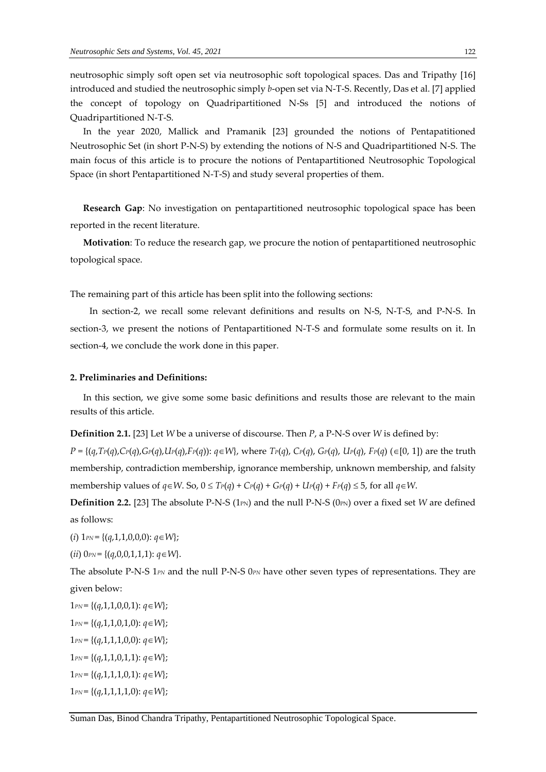neutrosophic simply soft open set via neutrosophic soft topological spaces. Das and Tripathy [16] introduced and studied the neutrosophic simply *b*-open set via N-T-S. Recently, Das et al. [7] applied the concept of topology on Quadripartitioned N-Ss [5] and introduced the notions of Quadripartitioned N-T-S.

In the year 2020, Mallick and Pramanik [23] grounded the notions of Pentapatitioned Neutrosophic Set (in short P-N-S) by extending the notions of N-S and Quadripartitioned N-S. The main focus of this article is to procure the notions of Pentapartitioned Neutrosophic Topological Space (in short Pentapartitioned N-T-S) and study several properties of them.

**Research Gap**: No investigation on pentapartitioned neutrosophic topological space has been reported in the recent literature.

**Motivation**: To reduce the research gap, we procure the notion of pentapartitioned neutrosophic topological space.

The remaining part of this article has been split into the following sections:

In section-2, we recall some relevant definitions and results on N-S, N-T-S, and P-N-S. In section-3, we present the notions of Pentapartitioned N-T-S and formulate some results on it. In section-4, we conclude the work done in this paper.

#### **2. Preliminaries and Definitions:**

In this section, we give some some basic definitions and results those are relevant to the main results of this article.

**Definition 2.1.** [23] Let *W* be a universe of discourse. Then *P*, a P-N-S over *W* is defined by:

 $P = \{(q, Tr(q), Cr(q), Gr(q), Ur(q), Fr(q)) : q \in W\}$ , where  $Tr(q)$ ,  $Cr(q)$ ,  $Gr(q)$ ,  $Ur(q)$ ,  $Fr(q)$  ( $\in [0, 1]$ ) are the truth membership, contradiction membership, ignorance membership, unknown membership, and falsity membership values of  $q \in W$ . So,  $0 \leq Tr(q) + Cr(q) + Gr(q) + Ur(q) + Fr(q) \leq 5$ , for all  $q \in W$ .

**Definition 2.2.** [23] The absolute P-N-S (1<sub>PN</sub>) and the null P-N-S (0<sub>PN</sub>) over a fixed set *W* are defined as follows:

(*i*)  $1_{PN} = \{(q,1,1,0,0,0) : q \in W\};$ 

(*ii*)  $0_{PN} = \{(q,0,0,1,1,1): q \in W\}.$ 

The absolute P-N-S 1*PN* and the null P-N-S 0*PN* have other seven types of representations. They are given below:

*PN* = {(*q*,1,1,0,0,1): *q* ∈ *W*}; *PN* = {(*q*,1,1,0,1,0): *qW*};  $1_{PN} = \{(q,1,1,1,0,0): q \in W\};$  $1_{PN} = \{(q,1,1,0,1,1): q \in W\};$ *PN* = {(*q*,1,1,1,0,1): *qW*}; *PN* = {(*q*,1,1,1,1,0): *q* ∈ *W*};

Suman Das, Binod Chandra Tripathy, Pentapartitioned Neutrosophic Topological Space.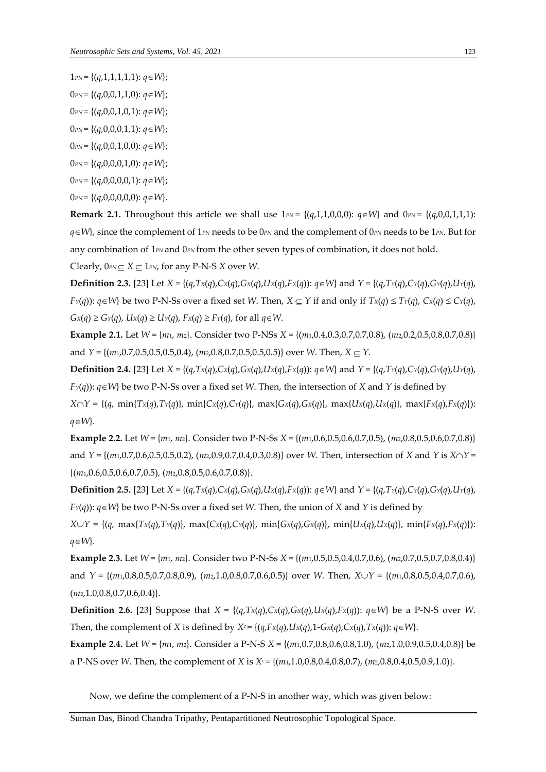- $1_{PN} = \{(q,1,1,1,1,1): q \in W\};$
- $0_{PN} = \{(q,0,0,1,1,0): q \in W\};$
- $0_{PN} = \{(q,0,0,1,0,1): q \in W\};$
- $0_{PN} = \{(q,0,0,0,1,1): q \in W\};$
- $0_{PN} = \{(q,0,0,1,0,0): q \in W\};$
- 0*PN* = {(*q*,0,0,0,1,0): *qW*};
- $0_{PN} = \{(q,0,0,0,0,1): q \in W\};$
- $0_{PN} = \{(q,0,0,0,0,0); q \in W\}.$

**Remark 2.1.** Throughout this article we shall use  $1_{PN} = \{(q,1,1,0,0,0): q \in W\}$  and  $0_{PN} = \{(q,0,0,1,1,1):$ *qW*}, since the complement of 1*PN* needs to be 0*PN* and the complement of 0*PN* needs to be 1*PN*. But for any combination of 1<sub>*PN*</sub> and 0<sub>*PN*</sub> from the other seven types of combination, it does not hold. Clearly,  $0_{PN} \subseteq X \subseteq 1_{PN}$ , for any P-N-S *X* over *W*.

**Definition 2.3.** [23] Let  $X = \{(q, Tx(q), Cx(q), Cx(q), Lx(q), Fx(q)) : q \in W\}$  and  $Y = \{(q, Tx(q), Cx(q), Cx(q), Lx(q), Lx(q), Lx(q), Fx(q), Dx(q), Lx(q), Fx(q), Dx(q), Fx(q), Fx(q), Fx(q), Fx(q)\}$  $F_Y(q)$ :  $q \in W$  be two P-N-Ss over a fixed set W. Then,  $X \subseteq Y$  if and only if  $Tx(q) \leq Ty(q)$ ,  $Cx(q) \leq Cy(q)$ ,  $G_X(q) \ge G_Y(q)$ ,  $U_X(q) \ge U_Y(q)$ ,  $F_X(q) \ge F_Y(q)$ , for all  $q \in W$ .

**Example 2.1.** Let *W* = {*m*1, *m*2}. Consider two P-NSs *X =* {(*m*1,0.4,0.3,0.7,0.7,0.8), (*m*2,0.2,0.5,0.8,0.7,0.8)} and *Y* = { $(m_1, 0.7, 0.5, 0.5, 0.5, 0.4)$ ,  $(m_2, 0.8, 0.7, 0.5, 0.5, 0.5)$ } over *W*. Then, *X*  $\subseteq$  *Y*.

**Definition 2.4.** [23] Let  $X = \{(q, Tx(q), Cx(q), Gx(q), Ux(q), Fx(q)) : q \in W\}$  and  $Y = \{(q, Tx(q), Cx(q), Cx(q), Ux(q), Gx(q), Ux(q), Gx(q), Ux(q), Gx(q), Ux(q), Gx(q), Ux(q), Gx(q, Qx,q), Ux(q, Qx,q), Ux(q, Qx,q), Ux(q, Qx,q), Ux(q, Qx,q), Ux(q, Qx,q), Ux(q, Qx,q), Ux(q, Qx,q), Ux(q, Qx,q), Ux(q, Qx,q), Ux(q, Qx,q), Ux(q, Qx,q), Ux(q, Q$  $F_Y(q)$ :  $q \in W$ } be two P-N-Ss over a fixed set *W*. Then, the intersection of *X* and *Y* is defined by  $X \cap Y = \{(q, min\{Tx(q), Tx(q)\}, min\{Cx(q), C_Y(q)\}, max\{G_X(q), G_X(q)\}, max\{U_X(q), U_X(q)\}, max\{Fx(q), F_X(q)\})$ : *q*∈*W*}.

**Example 2.2.** Let *W* = {*m*1, *m*2}. Consider two P-N-Ss *X =* {(*m*1,0.6,0.5,0.6,0.7,0.5), (*m*2,0.8,0.5,0.6,0.7,0.8)} and  $Y = \{(m_1, 0.7, 0.6, 0.5, 0.5, 0.2), (m_2, 0.9, 0.7, 0.4, 0.3, 0.8)\}$  over *W*. Then, intersection of *X* and *Y* is  $X \cap Y =$ {(*m*1,0.6,0.5,0.6,0.7,0.5), (*m*2,0.8,0.5,0.6,0.7,0.8)}.

**Definition 2.5.** [23] Let  $X = \{(q, Tx(q), Cx(q), Gx(q), Ux(q), Fx(q)) : q \in W\}$  and  $Y = \{(q, Tx(q), Cx(q), Gx(q), Ux(q), Gx(q), Ux(q), Gx(q), Ux(q), Gx(q), Ux(q), Gx(q), Ux(q), Gx(q), Ux(q), Gx(q), Ux(q), Gx(q), Ux(q), Gx(q), Ux(q), Gx(q), Ux(q), Gx(q), Ux(q), Gx(q), Ux(q), Gx(q), Ux(q), Ux(q), Gx(q), Ux(q), Gx(q), Ux(q), Gx(q), Ux(q), Gx(q), Ux(q), G$  $F_Y(q)$ :  $q \in W$ } be two P-N-Ss over a fixed set *W*. Then, the union of *X* and *Y* is defined by

 $X \cup Y = \{(q, \max\{Tx(q), Tx(q)\}, \max\{Cx(q), C\lor(q)\}, \min\{Gx(q), Gx(q)\}, \min\{Ux(q), Ux(q)\}, \min\{Fx(q), Fx(q)\})\}.$  $q \in W$ .

**Example 2.3.** Let *W* = {*m*1, *m*2}. Consider two P-N-Ss *X =* {(*m*1,0.5,0.5,0.4,0.7,0.6), (*m*2,0.7,0.5,0.7,0.8,0.4)} and *Y* = {(*m*1,0.8,0.5,0.7,0.8,0.9), (*m*2,1.0,0.8,0.7,0.6,0.5)} over *W*. Then, *XY* = {(*m*1,0.8,0.5,0.4,0.7,0.6), (*m*2,1.0,0.8,0.7,0.6,0.4)}.

**Definition 2.6.** [23] Suppose that  $X = \{(q, Tx(q), Cx(q), Gx(q), Ux(q), Fx(q)) : q \in W\}$  be a P-N-S over W. Then, the complement of X is defined by  $X^c = \{(q, F_X(q), U_X(q), 1 - G_X(q), C_X(q), T_X(q)) : q \in W\}$ .

**Example 2.4.** Let *W* = {*m*1, *m*2}. Consider a P-N-S *X* = {(*m*1,0.7,0.8,0.6,0.8,1.0), (*m*2,1.0,0.9,0.5,0.4,0.8)} be a P-NS over *W*. Then, the complement of *X* is  $X^c = \{(m_1, 1.0, 0.8, 0.4, 0.8, 0.7), (m_2, 0.8, 0.4, 0.5, 0.9, 1.0)\}.$ 

Now, we define the complement of a P-N-S in another way, which was given below: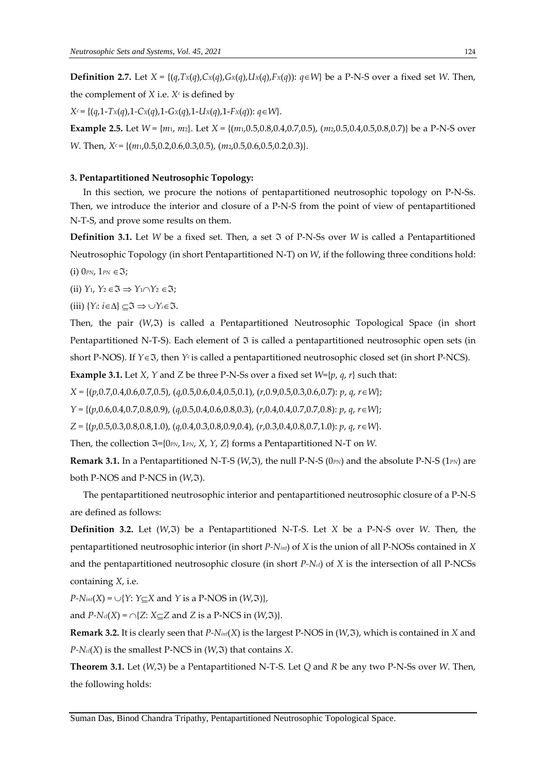**Definition 2.7.** Let  $X = \{(q, Tx(q), Cx(q), Cx(q), Ux(q), Fx(q)) : q \in W\}$  be a P-N-S over a fixed set W. Then, the complement of *X* i.e. *X<sup>c</sup>* is defined by

*X<sup>c</sup>* = {(*q*,1-*TX*(*q*),1*-CX*(*q*),1-*GX*(*q*),1-*UX*(*q*),1-*FX*(*q*)): *qW*}.

**Example 2.5.** Let *W* = {*m*1, *m*2}. Let *X* = {(*m*1,0.5,0.8,0.4,0.7,0.5), (*m*2,0.5,0.4,0.5,0.8,0.7)} be a P-N-S over *W*. Then, *X<sup>c</sup>* = {(*m*<sub>1</sub>,0.5,0.2,0.6,0.3,0.5), (*m*<sub>2</sub>,0.5,0.6,0.5,0.2,0.3)}.

### **3. Pentapartitioned Neutrosophic Topology:**

In this section, we procure the notions of pentapartitioned neutrosophic topology on P-N-Ss. Then, we introduce the interior and closure of a P-N-S from the point of view of pentapartitioned N-T-S, and prove some results on them.

**Definition** 3.1. Let *W* be a fixed set. Then, a set  $\Im$  of P-N-Ss over *W* is called a Pentapartitioned Neutrosophic Topology (in short Pentapartitioned N-T) on *W*, if the following three conditions hold:

 $(i)$  O<sub>PN</sub>,  $1_{PN} \in \mathfrak{I}$ ;

(ii)  $Y_1, Y_2 \in \mathfrak{I} \implies Y_1 \cap Y_2 \in \mathfrak{I}$ ;

(iii)  $\{Y_i: i \in \Delta\} \subseteq \mathfrak{I} \Rightarrow \bigcup Y_i \in \mathfrak{I}.$ 

Then, the pair (W,3) is called a Pentapartitioned Neutrosophic Topological Space (in short Pentapartitioned N-T-S). Each element of  $\Im$  is called a pentapartitioned neutrosophic open sets (in short P-NOS). If *Y*  $\in$  3, then *Y<sup><i>c*</sup> is called a pentapartitioned neutrosophic closed set (in short P-NCS).

**Example 3.1.** Let *X*, *Y* and *Z* be three P-N-Ss over a fixed set *W*={*p*, *q*, *r*} such that:

*X =* {(*p*,0.7,0.4,0.6,0.7,0.5), (*q*,0.5,0.6,0.4,0.5,0.1), (*r*,0.9,0.5,0.3,0.6,0.7): *p*, *q*, *rW*};

*Y =* {(*p*,0.6,0.4,0.7,0.8,0.9), (*q*,0.5,0.4,0.6,0.8,0.3), (*r*,0.4,0.4,0.7,0.7,0.8): *p*, *q*, *rW*};

*Z =* {(*p*,0.5,0.3,0.8,0.8,1.0), (*q*,0.4,0.3,0.8,0.9,0.4), (*r*,0.3,0.4,0.8,0.7,1.0): *p*, *q*, *rW*}.

Then, the collection  $\Im$ ={0 $_{PN}$ , 1 $_{PN}$ , *X*, *Y*, *Z*} forms a Pentapartitioned N-T on *W*.

**Remark 3.1.** In a Pentapartitioned N-T-S ( $W$ ,  $\Im$ ), the null P-N-S ( $0_{PN}$ ) and the absolute P-N-S ( $1_{PN}$ ) are both P-NOS and P-NCS in  $(W, \mathfrak{I})$ .

The pentapartitioned neutrosophic interior and pentapartitioned neutrosophic closure of a P-N-S are defined as follows:

**Definition 3.2.** Let (*W*,) be a Pentapartitioned N-T-S. Let *X* be a P-N-S over *W*. Then, the pentapartitioned neutrosophic interior (in short *P-Nint*) of *X* is the union of all P-NOSs contained in *X* and the pentapartitioned neutrosophic closure (in short *P-Ncl*) of *X* is the intersection of all P-NCSs containing *X*, i.e.

 $P\text{-}N$ *int*(*X*) =  $\cup$ {*Y*: *Y*<sub> $\subseteq$ </sub>*X* and *Y* is a P-NOS in (*W*<sub>r</sub>, 3)},

and  $P\text{-}N_{cl}(X) = \bigcap \{Z: X \subseteq Z \text{ and } Z \text{ is a P-NCS in } (W,\mathfrak{I})\}.$ 

**Remark 3.2.** It is clearly seen that  $P\text{-}N<sub>int</sub>(X)$  is the largest P-NOS in ( $W$ , $\Im$ ), which is contained in *X* and  $P-N_{cl}(X)$  is the smallest P-NCS in  $(W,\mathfrak{I})$  that contains *X*.

**Theorem 3.1.** Let  $(W,\mathfrak{I})$  be a Pentapartitioned N-T-S. Let *Q* and *R* be any two P-N-Ss over *W*. Then, the following holds: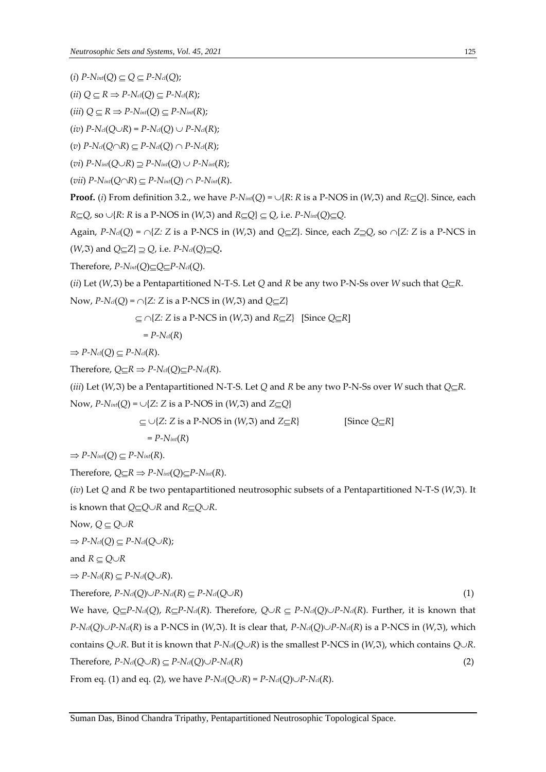$(i)$   $P-N$ *int* $(Q) \subseteq Q \subseteq P-N$ *cl* $(Q)$ ;

$$
(ii) Q \subseteq R \Rightarrow P\text{-}N_{cl}(Q) \subseteq P\text{-}N_{cl}(R);
$$

$$
(iii) Q \subseteq R \Rightarrow P\text{-}N_{int}(Q) \subseteq P\text{-}N_{int}(R);
$$

$$
(iv) P\text{-}N_{cl}(Q\cup R) = P\text{-}N_{cl}(Q) \cup P\text{-}N_{cl}(R);
$$

 $(v)$   $P-N_{cl}(Q\cap R) \subset P-N_{cl}(Q) \cap P-N_{cl}(R);$ 

$$
(vi) P\text{-}N_{int}(Q\cup R) \supseteq P\text{-}N_{int}(Q) \cup P\text{-}N_{int}(R);
$$

 $(vii)$   $P-N<sub>int</sub>(Q \cap R) \subseteq P-N<sub>int</sub>(Q) \cap P-N<sub>int</sub>(R)$ .

**Proof.** (*i*) From definition 3.2., we have  $P\text{-}N$ *int*(*Q*) =  $\cup$ {*R*: *R* is a P-NOS in (*W*, 3) and *R* $\subseteq$ *Q*}. Since, each  $R \subseteq Q$ , so  $\cup \{R: R \text{ is a P-NOS in } (W, \Im) \text{ and } R \subseteq Q\} \subseteq Q$ , i.e.  $P \text{-} N$ *int*(*Q*) $\subseteq Q$ .

Again,  $P-N_{c}(Q) = \bigcap \{Z: Z \text{ is a } P-\text{NCS in } (W,\mathfrak{I}) \text{ and } Q \subseteq Z\}$ . Since, each  $Z \supseteq Q$ , so  $\bigcap \{Z: Z \text{ is a } P-\text{NCS in } Q\}$  $(W,\mathfrak{I})$  and  $Q \subseteq Z$   $\supseteq Q$ , i.e.  $P$ - $N_{cl}(Q) \supseteq Q$ .

Therefore,  $P$ - $N$ *int*(*Q*) $\subseteq$ *Q* $\subseteq$  $P$ - $N$ *cl*(*Q*).

(*ii*) Let (*W*,  $\Im$ ) be a Pentapartitioned N-T-S. Let *Q* and *R* be any two P-N-Ss over *W* such that  $Q \subseteq R$ .

Now, 
$$
P\text{-}N_d(Q) = \bigcap \{Z: Z \text{ is a P-NCS in } (W, \Im) \text{ and } Q \subseteq Z\}
$$

$$
\subseteq \cap \{Z: Z \text{ is a P-NCS in } (W,\mathfrak{I}) \text{ and } R \subseteq Z\}
$$
 [Since  $Q \subseteq R$ ]

$$
=P\text{-}\mathcal{N}_\mathit{cl}(R)
$$

 $\Rightarrow$  *P-N*<sup>*cl*</sup>(*Q*)  $\subset$  *P-N*<sup>*cl*</sup>(*R*).

Therefore,  $Q \subseteq R \Rightarrow P \cdot N_{cl}(Q) \subseteq P \cdot N_{cl}(R)$ .

(*iii*) Let (*W*,  $\Im$ ) be a Pentapartitioned N-T-S. Let *Q* and *R* be any two P-N-Ss over *W* such that  $Q \subseteq R$ .

Now,  $P\text{-}N_{int}(Q) = \bigcup \{Z: Z \text{ is a P-NOS in } (W,\mathfrak{F}) \text{ and } Z \subseteq Q\}$ 

 $\subseteq \cup \{Z: Z \text{ is a P-NOS in } (W,\Im) \text{ and } Z \subseteq R\}$  [Since  $Q \subseteq R$ ]

 $= P - N_{int}(R)$ 

 $\Rightarrow$  *P-Nint*(*Q*)  $\subseteq$  *P-Nint*(*R*).

Therefore,  $Q \subseteq R \Rightarrow P \cdot N_{int}(Q) \subseteq P \cdot N_{int}(R)$ .

(*iv*) Let *Q* and *R* be two pentapartitioned neutrosophic subsets of a Pentapartitioned N-T-S (*W*,). It is known that  $Q \subseteq Q \cup R$  and  $R \subseteq Q \cup R$ .

Now, 
$$
Q \subseteq Q \cup R
$$

 $\Rightarrow$  *P-N*<sup>*cl*</sup>(*Q*)  $\subseteq$  *P-N*<sup>*cl*</sup>(*Q*)*;* 

and 
$$
R \subseteq Q \cup R
$$

$$
\Rightarrow P\text{-}N_{\text{cl}}(R) \subseteq P\text{-}N_{\text{cl}}(Q\cup R).
$$

 $\text{Therefore, } P\text{-}N_{cl}(Q)\cup P\text{-}N_{cl}(R) \subseteq P\text{-}N_{cl}(Q\cup R)$  (1)

We have,  $Q \subseteq P-N_{cl}(Q)$ ,  $R \subseteq P-N_{cl}(R)$ . Therefore,  $Q \cup R \subseteq P-N_{cl}(Q) \cup P-N_{cl}(R)$ . Further, it is known that *P-N*<sup>*cl*</sup>(*Q*) $\cup$ *P-N*<sup>*cl*</sup>(*R*) is a P-NCS in (*W*, 3). It is clear that, *P-N*<sup>*cl*</sup>(*Q*) $\cup$ *P-N*<sup>*cl*</sup>(*R*) is a P-NCS in (*W*, 3), which contains *Q* $\cup$ *R*. But it is known that *P*-*Nd*(*Q* $\cup$ *R*) is the smallest *P*-*NCS* in (*W*, 3), which contains *Q* $\cup$ *R*.  $T$  **Therefore,**  $P$ - $N$ *cl*( $Q \cup R$ )  $\subseteq P$ - $N$ *cl*( $Q$ ) $\cup P$ - $N$ *cl*( $R$ ) (2) From eq. (1) and eq. (2), we have  $P-N_{cl}(Q\cup R) = P-N_{cl}(Q)\cup P-N_{cl}(R)$ .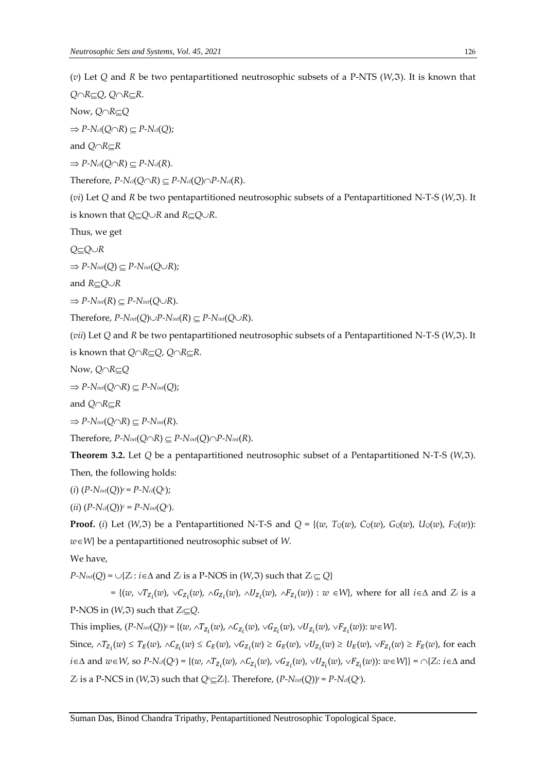( $v$ ) Let Q and R be two pentapartitioned neutrosophic subsets of a P-NTS ( $W$ , $\Im$ ). It is known that

*Q*∩*R*⊆*Q*, *Q*∩*R*⊆*R*. Now, *Q∩R*⊆*Q*  $\Rightarrow$  *P-N*<sup>*cl*</sup>(*Q* $\cap$ *R*)  $\subseteq$  *P-N*<sup>*cl*</sup>(*Q*); and  $Q \cap R \subset R$  $\Rightarrow$   $P$ - $N$ <sup>*cl*</sup>( $Q \cap R$ )  $\subseteq$   $P$ - $N$ *cl*( $R$ ). Therefore,  $P\text{-}N_{cl}(Q\cap R) \subseteq P\text{-}N_{cl}(Q)\cap P\text{-}N_{cl}(R)$ . (*vi*) Let *Q* and *R* be two pentapartitioned neutrosophic subsets of a Pentapartitioned N-T-S (*W*,). It is known that  $Q \subseteq Q \cup R$  and  $R \subseteq Q \cup R$ . Thus, we get *QQR*  $\Rightarrow$  *P-Nint*(*Q*)  $\subseteq$  *P-Nint*(*Q* $\cup$ *R*); and  $R \subseteq Q \cup R$  $\Rightarrow$  *P-Nint*(*R*)  $\subset$  *P-Nint*(*Q* $\cup$ *R*). Therefore,  $P\text{-}N_{int}(Q)\cup P\text{-}N_{int}(R) \subseteq P\text{-}N_{int}(Q\cup R)$ . (*vii*) Let *Q* and *R* be two pentapartitioned neutrosophic subsets of a Pentapartitioned N-T-S (*W*, 3). It is known that  $Q \cap R \subseteq Q$ ,  $Q \cap R \subseteq R$ . Now, *Q∩R*⊆*Q*  $\Rightarrow$  *P-Nint*(*Q* $\cap$ *R*)  $\subseteq$  *P-Nint*(*Q*);

and  $Q \cap R \subset R$ 

$$
\Rightarrow P\text{-}N_{int}(Q\cap R) \subseteq P\text{-}N_{int}(R).
$$

Therefore,  $P\text{-}N_{int}(Q \cap R) \subseteq P\text{-}N_{int}(Q) \cap P\text{-}N_{int}(R)$ .

Theorem 3.2. Let *Q* be a pentapartitioned neutrosophic subset of a Pentapartitioned N-T-S (*W*,3). Then, the following holds:

$$
(i) (P\text{-}N_{int}(Q))^{c} = P\text{-}N_{cl}(Q^{c});
$$

$$
(ii) (P\text{-}N_{cl}(Q))^{c} = P\text{-}N_{int}(Q^{c}).
$$

**Proof.** (i) Let  $(W,\Im)$  be a Pentapartitioned N-T-S and  $Q = \{(w, T_Q(w), C_Q(w), C_Q(w), U_Q(w), F_Q(w))\}$ *wW*} be a pentapartitioned neutrosophic subset of *W*.

We have,

 $P-N$ *int*(*Q*) =  $\cup$ {*Z<sub>i</sub>* : *i*  $\in$   $\Delta$  and *Z<sub>i</sub>* is a P-NOS in (*W<sub>r</sub>*3) such that *Z<sub>i</sub>*  $\subseteq$  *Q*}

 $= \{(w, \vee T_{Z_i}(w), \vee C_{Z_i}(w), \wedge G_{Z_i}(w), \wedge U_{Z_i}(w), \wedge F_{Z_i}(w)): w \in W\}$ , where for all  $i \in \Delta$  and  $Z_i$  is a P-NOS in  $(W,\mathfrak{T})$  such that  $Z_i \subseteq Q$ .

This implies,  $(P - N_{int}(Q))^c = \{(w, \land T_{Z_i}(w), \land C_{Z_i}(w), \lor G_{Z_i}(w), \lor U_{Z_i}(w), \lor F_{Z_i}(w)) : w \in W\}.$ 

Since,  $\wedge T_{Z_i}(w) \le T_E(w)$ ,  $\wedge C_{Z_i}(w) \le C_E(w)$ ,  $\vee G_{Z_i}(w) \ge G_E(w)$ ,  $\vee U_{Z_i}(w) \ge U_E(w)$ ,  $\vee F_{Z_i}(w) \ge F_E(w)$ , for each  $i \in \Delta$  and  $w \in W$ , so  $P$ - $N$ *d*( $Q$ <sup>*c*</sup>) = {( $w$ ,  $\wedge T_{Z_i}(w)$ ,  $\wedge C_{Z_i}(w)$ ,  $\vee G_{Z_i}(w)$ ,  $\vee U_{Z_i}(w)$ ,  $\vee F_{Z_i}(w)$ ):  $w \in W$ }} =  $\cap$ { $Z_i$ :  $i \in \Delta$  and *Z*<sup>*i*</sup> is a P-NCS in (*W*,3) such that  $Q$ <sup>*c*</sup> $\subseteq$ *Z<sub>i</sub>*}. Therefore, (*P-N*<sub>*int*</sub>(*Q*)*)<sup><i>c*</sup> = *P-Ncl*(*Q<sup><i>c*</sup>).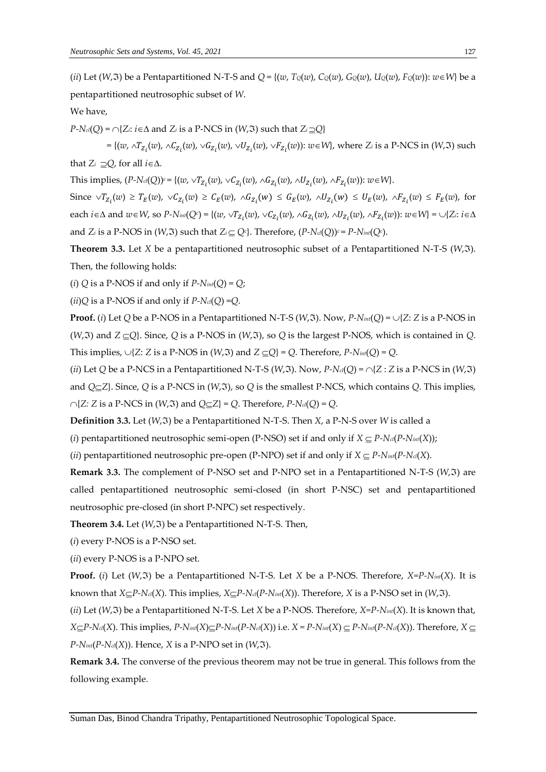(ii) Let (W, 3) be a Pentapartitioned N-T-S and  $Q = \{(w, T_Q(w), C_Q(w), G_Q(w), U_Q(w), F_Q(w)) : w \in W\}$  be a pentapartitioned neutrosophic subset of *W*.

We have,

 $P-N_{cl}(Q) = \bigcap \{Z_i: i \in \Delta \text{ and } Z_i \text{ is a } P\text{-NCS in } (W, \Im) \text{ such that } Z_i \supseteq Q\}$ 

 $= \{ (w, \land T_{Z_i}(w), \land C_{Z_i}(w), \lor G_{Z_i}(w), \lor U_{Z_i}(w), \lor F_{Z_i}(w)) : w \in W \}$ , where *Z<sub>i</sub>* is a P-NCS in (*W*, 3) such that  $Z_i \supseteq Q$ , for all  $i \in \Delta$ .

This implies,  $(P\text{-}N_{cl}(Q))^c = \{(w, \vee T_{Z_i}(w), \vee C_{Z_i}(w), \wedge G_{Z_i}(w), \wedge U_{Z_i}(w), \wedge F_{Z_i}(w)) : w \in W\}.$ 

Since  $\vee T_{Z_i}(w) \ge T_E(w)$ ,  $\vee C_{Z_i}(w) \ge C_E(w)$ ,  $\wedge G_{Z_i}(w) \le G_E(w)$ ,  $\wedge U_{Z_i}(w) \le U_E(w)$ ,  $\wedge F_{Z_i}(w) \le F_E(w)$ , for  $\alpha$  cach  $i \in \Delta$  and  $w \in W$ , so  $P$ - $N$ *int*( $Q$ *c*) = {( $w$ ,  $\vee T_{Z_i}(w)$ ,  $\vee C_{Z_i}(w)$ ,  $\wedge G_{Z_i}(w)$ ,  $\wedge U_{Z_i}(w)$ ,  $\wedge F_{Z_i}(w)$ ):  $w \in W$ } =  $\cup \{Z_i : i \in \Delta\}$ and  $Z_i$  is a P-NOS in  $(W,\mathfrak{T})$  such that  $Z_i \subseteq Q^c$ . Therefore,  $(P\text{-}N_{cl}(Q))^c = P\text{-}N_{int}(Q^c)$ .

**Theorem 3.3.** Let *X* be a pentapartitioned neutrosophic subset of a Pentapartitioned N-T-S ( $W$ , $\Im$ ). Then, the following holds:

(*i*)  $Q$  is a P-NOS if and only if  $P\text{-}N$ *int*( $Q$ ) =  $Q$ ;

 $(iii)Q$  is a P-NOS if and only if  $P-N_{cl}(Q) = Q$ .

**Proof.** (*i*) Let *Q* be a P-NOS in a Pentapartitioned N-T-S (*W*,  $\Im$ ). Now, *P-N*<sup>*int*</sup>(*Q*) =  $\cup$ {*Z*: *Z* is a P-NOS in (*W*,  $\tilde{x}$ ) and  $Z \subseteq Q$ }. Since, *Q* is a P-NOS in (*W*, $\tilde{x}$ ), so *Q* is the largest P-NOS, which is contained in *Q*. This implies,  $\bigcup \{Z: Z \text{ is a P-NOS in } (W, \Im) \text{ and } Z \subseteq Q\} = Q$ . Therefore,  $P\text{-}N_{int}(Q) = Q$ .

(*ii*) Let *Q* be a P-NCS in a Pentapartitioned N-T-S (*W*,  $\Im$ ). Now,  $P$ - $N_{cl}(Q) = \bigcap \{Z : Z \text{ is a } P\text{-NCS in (W,}\Im\}$ ) and  $Q \subseteq Z$ . Since, *Q* is a P-NCS in (*W*, 3), so *Q* is the smallest P-NCS, which contains *Q*. This implies,  $\bigcap \{Z: Z \text{ is a P-NCS in } (W, \Im) \text{ and } Q \subseteq Z\} = Q$ . Therefore,  $P\text{-}Nd(Q) = Q$ .

**Definition 3.3.** Let (*W*,) be a Pentapartitioned N-T-S. Then *X*, a P-N-S over *W* is called a

(*i*) pentapartitioned neutrosophic semi-open (P-NSO) set if and only if  $X \subseteq P\text{-}N_{cl}(P\text{-}N_{int}(X))$ ;

(*ii*) pentapartitioned neutrosophic pre-open (P-NPO) set if and only if  $X \subseteq P\text{-}N_{int}(P\text{-}N_{cl}(X))$ .

**Remark 3.3.** The complement of P-NSO set and P-NPO set in a Pentapartitioned N-T-S (*W*,3) are called pentapartitioned neutrosophic semi-closed (in short P-NSC) set and pentapartitioned neutrosophic pre-closed (in short P-NPC) set respectively.

**Theorem 3.4.** Let  $(W,\mathfrak{T})$  be a Pentapartitioned N-T-S. Then,

(*i*) every P-NOS is a P-NSO set.

(*ii*) every P-NOS is a P-NPO set.

**Proof.** (*i*) Let ( $W$ , $\Im$ ) be a Pentapartitioned N-T-S. Let *X* be a P-NOS. Therefore, *X*=P-N<sub>int</sub>(*X*). It is known that *X<sub>C</sub>* $P$ -*N*<sub>*c*</sub>(*X*). This implies, *X<sub></sub>C* $P$ -*N<sub><i>i*</sub></sub>( $P$ -*N<sub>int</sub>*(*X*)). Therefore, *X* is a *P*-NSO set in (*W*,  $\Im$ ).

(*ii*) Let ( $W$ , $\Im$ ) be a Pentapartitioned N-T-S. Let *X* be a P-NOS. Therefore,  $X = P - N$ *int*(*X*). It is known that,  $X \subseteq P-N_{cl}(X)$ . This implies,  $P-N_{int}(X) \subseteq P-N_{int}(P-N_{cl}(X))$  i.e.  $X = P-N_{int}(X) \subseteq P-N_{int}(P-N_{cl}(X))$ . Therefore,  $X \subseteq P-N_{int}(Y)$  $P-N<sub>int</sub>(P-N<sub>cl</sub>(X))$ . Hence, *X* is a P-NPO set in (*W*, 3).

**Remark 3.4.** The converse of the previous theorem may not be true in general. This follows from the following example.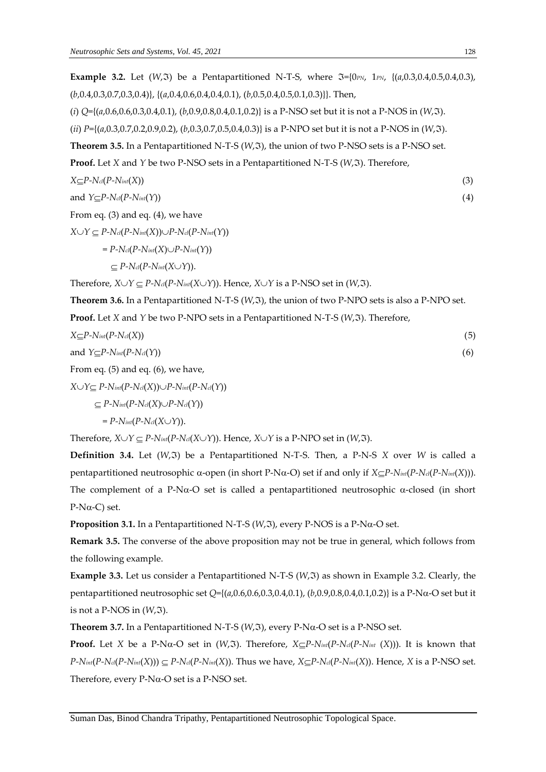**Example 3.2.** Let  $(W,\Im)$  be a Pentapartitioned N-T-S, where  $\Im$ ={0*PN*, 1*PN*, {(*a*,0.3,0.4,0.5,0.4,0.3), (*b*,0.4,0.3,0.7,0.3,0.4)}, {(*a*,0.4,0.6,0.4,0.4,0.1), (*b*,0.5,0.4,0.5,0.1,0.3)}}. Then,

(*i*) *Q*={(*a*,0.6,0.6,0.3,0.4,0.1), (*b*,0.9,0.8,0.4,0.1,0.2)} is a P-NSO set but it is not a P-NOS in (*W*,).

(*ii*)  $P=\{(a,0.3,0.7,0.2,0.9,0.2), (b,0.3,0.7,0.5,0.4,0.3)\}$  is a P-NPO set but it is not a P-NOS in (*W*, 3).

Theorem 3.5. In a Pentapartitioned N-T-S (*W*,  $\tilde{y}$ ), the union of two P-NSO sets is a P-NSO set.

**Proof.** Let *X* and *Y* be two P-NSO sets in a Pentapartitioned N-T-S (*W*,  $\Im$ ). Therefore,

 $X \subseteq P$ -N*cl*( $P$ -N*int*( $X$ )) (3)

and  $Y \subset P-N_{\text{cl}}(P-N_{\text{int}}(Y))$  (4)

From eq. (3) and eq. (4), we have

 $X \cup Y \subseteq P$ - $N$ *cl*( $P$ - $N$ *int*( $X$ )) $\cup P$ - $N$ *cl*( $P$ - $N$ *int*( $Y$ ))

 $= P - N_{\text{cl}}(P - N_{\text{int}}(X) \cup P - N_{\text{int}}(Y))$ 

 $\subset P$ - $N_{\text{cl}}(P$ - $N_{\text{int}}(X \cup Y)$ .

Therefore,  $X \cup Y \subseteq P$ - $N_{cl}(P-N_{int}(X \cup Y))$ . Hence,  $X \cup Y$  is a P-NSO set in  $(W, \Im)$ .

**Theorem 3.6.** In a Pentapartitioned N-T-S (*W*,  $\Im$ ), the union of two P-NPO sets is also a P-NPO set.

**Proof.** Let *X* and *Y* be two P-NPO sets in a Pentapartitioned N-T-S (*W<sub>r</sub>*3). Therefore,

$$
X \subseteq P - N_{int}(P - N_{cl}(X))
$$
\n
$$
A \leq P - N_{int}(P - N_{cl}(X))
$$
\n
$$
A \leq P - N_{cl}(P - N_{cl}(X))
$$
\n
$$
(6)
$$

and  $Y \subseteq P-N_{int}(P-N_{ci}(Y))$  (6)

From eq. (5) and eq. (6), we have,

 $X \cup Y \subseteq P$ - $N$ *int*( $P$ - $N$ *cl*( $X$ )) $\cup P$ - $N$ *int*( $P$ - $N$ *cl*( $Y$ ))

 $\subseteq$  *P-Nint*(*P-Ncl*(*X*) $\cup$ *P-Ncl*(*Y*))

 $= P - N_{int}(P - N_{cl}(X \cup Y)).$ 

Therefore,  $X \cup Y \subseteq P\text{-}N_{int}(P\text{-}N_{cl}(X \cup Y))$ . Hence,  $X \cup Y$  is a P-NPO set in  $(W, \Im)$ .

**Definition 3.4.** Let  $(W,\mathfrak{F})$  be a Pentapartitioned N-T-S. Then, a P-N-S *X* over *W* is called a pentapartitioned neutrosophic  $\alpha$ -open (in short P-N $\alpha$ -O) set if and only if  $X \subseteq P$ -N<sub>int</sub>( $P$ -N<sub>int</sub>( $X$ ))). The complement of a P-N $\alpha$ -O set is called a pentapartitioned neutrosophic  $\alpha$ -closed (in short  $P-N\alpha-C$ ) set.

**Proposition 3.1.** In a Pentapartitioned N-T-S  $(W,\mathcal{F})$ , every P-NOS is a P-N $\alpha$ -O set.

**Remark 3.5.** The converse of the above proposition may not be true in general, which follows from the following example.

**Example 3.3.** Let us consider a Pentapartitioned N-T-S (W, 3) as shown in Example 3.2. Clearly, the pentapartitioned neutrosophic set  $Q = \{(a, 0.6, 0.6, 0.3, 0.4, 0.1), (b, 0.9, 0.8, 0.4, 0.1, 0.2)\}$  is a P-N $\alpha$ -O set but it is not a P-NOS in  $(W, \mathfrak{I})$ .

**Theorem 3.7.** In a Pentapartitioned N-T-S ( $W$ , $\Im$ ), every P-N $\alpha$ -O set is a P-NSO set.

**Proof.** Let *X* be a P-N $\alpha$ -O set in (*W*, 3). Therefore,  $X \subseteq P$ -N<sub>int</sub>(*P*-N<sub>cl</sub>(*P*-N<sub>int</sub> (*X*))). It is known that  $P-N_{int}(P-N_{ci}(P-N_{int}(X))) \subseteq P-N_{ci}(P-N_{int}(X)).$  Thus we have,  $X \subseteq P-N_{ci}(P-N_{int}(X))$ . Hence, X is a P-NSO set. Therefore, every  $P-N\alpha-O$  set is a  $P-NSO$  set.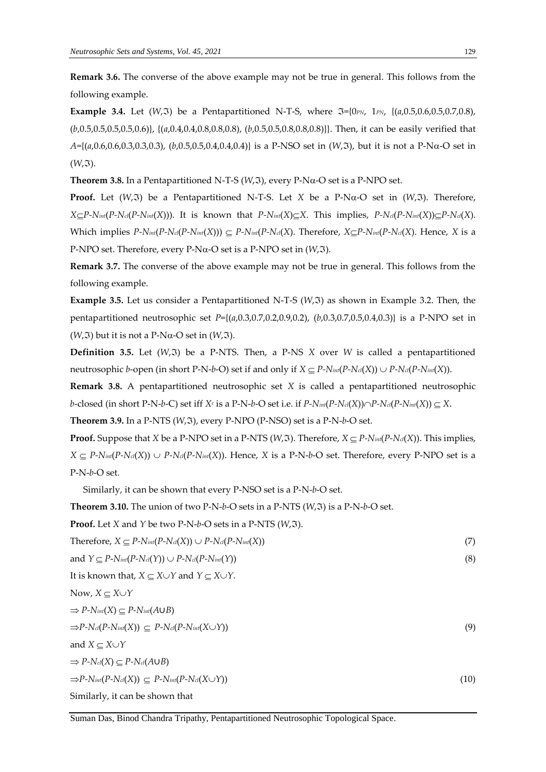**Remark 3.6.** The converse of the above example may not be true in general. This follows from the following example.

**Example 3.4.** Let  $(W,\Im)$  be a Pentapartitioned N-T-S, where  $\Im$ ={0*PN*, 1*PN*, {(*a*,0.5,0.6,0.5,0.7,0.8), (*b*,0.5,0.5,0.5,0.5,0.6)}, {(*a*,0.4,0.4,0.8,0.8,0.8), (*b*,0.5,0.5,0.8,0.8,0.8)}}. Then, it can be easily verified that  $A=\{(a,0.6,0.6,0.3,0.3,0.3), (b,0.5,0.5,0.4,0.4,0.4)\}\$ is a P-NSO set in  $(W,\Im)$ , but it is not a P-N $\alpha$ -O set in  $(W, \mathfrak{I}).$ 

**Theorem 3.8.** In a Pentapartitioned N-T-S ( $W$ , $\Im$ ), every P-N $\alpha$ -O set is a P-NPO set.

**Proof.** Let  $(W,\mathfrak{F})$  be a Pentapartitioned N-T-S. Let *X* be a P-N $\alpha$ -O set in  $(W,\mathfrak{F})$ . Therefore,  $X \subseteq P-N_{int}(P-N_{int}(X)))$ . It is known that  $P-N_{int}(X) \subseteq X$ . This implies,  $P-N_{cd}(P-N_{int}(X)) \subseteq P-N_{cd}(X)$ . Which implies  $P\text{-}N_{int}(P\text{-}N_{int}(X))) \subseteq P\text{-}N_{int}(P\text{-}N_{cl}(X)$ . Therefore,  $X \subseteq P\text{-}N_{int}(P\text{-}N_{cl}(X)$ . Hence, X is a P-NPO set. Therefore, every P-N $\alpha$ -O set is a P-NPO set in  $(W,\mathfrak{I})$ .

**Remark 3.7.** The converse of the above example may not be true in general. This follows from the following example.

**Example** 3.5. Let us consider a Pentapartitioned N-T-S  $(W,\mathfrak{F})$  as shown in Example 3.2. Then, the pentapartitioned neutrosophic set *P*={(*a*,0.3,0.7,0.2,0.9,0.2), (*b*,0.3,0.7,0.5,0.4,0.3)} is a P-NPO set in  $(W, \mathfrak{I})$  but it is not a P-N $\alpha$ -O set in  $(W, \mathfrak{I})$ .

**Definition** 3.5. Let  $(W,\mathfrak{F})$  be a P-NTS. Then, a P-NS X over *W* is called a pentapartitioned neutrosophic *b*-open (in short P-N-*b*-O) set if and only if  $X \subseteq P$ - $N_{int}(P-N_{cl}(X)) \cup P-N_{cl}(P-N_{int}(X))$ .

**Remark 3.8.** A pentapartitioned neutrosophic set *X* is called a pentapartitioned neutrosophic *b*-closed (in short P-N-*b*-C) set iff  $X^c$  is a P-N-*b*-O set i.e. if  $P$ - $N$ *int*( $P$ - $N$ *cl*( $X$ ))  $\cap$  $P$ - $N$ *cl*( $P$ - $N$ *int*( $X$ ))  $\subseteq X$ .

**Theorem 3.9.** In a P-NTS  $(W,\mathfrak{T})$ , every P-NPO  $(P-NSO)$  set is a P-N-b-O set.

**Proof.** Suppose that *X* be a P-NPO set in a P-NTS (*W*,  $\Im$ ). Therefore, *X*  $\subseteq$  *P-N<sub>int</sub>*(*P-N<sub>cl</sub>*(*X*)). This implies,  $X \subseteq P\text{-}N_{int}(P\text{-}N_{cl}(X)) \cup P\text{-}N_{cl}(P\text{-}N_{int}(X))$ . Hence, *X* is a P-N-*b*-O set. Therefore, every P-NPO set is a P-N-*b*-O set.

Similarly, it can be shown that every P-NSO set is a P-N-*b*-O set.

**Theorem 3.10.** The union of two P-N- $b$ -O sets in a P-NTS  $(W,\mathfrak{F})$  is a P-N- $b$ -O set.

**Proof.** Let *X* and *Y* be two P-N-*b*-O sets in a P-NTS  $(W, \Im)$ .

 $T$ herefore,  $X \subseteq P\text{-}N$ *int*( $P\text{-}N$ *cl*( $X$ ))  $\cup P\text{-}N$ *cl*( $P\text{-}N$ *int*( $X$ )) (7)

and 
$$
Y \subseteq P\text{-}N_{int}(P\text{-}N_{cl}(Y)) \cup P\text{-}N_{cl}(P\text{-}N_{int}(Y))
$$
 (8)

It is known that,  $X \subseteq X \cup Y$  and  $Y \subseteq X \cup Y$ .

Now,  $X \subseteq X \cup Y$ 

$$
\Rightarrow P\text{-}N_{int}(X) \subseteq P\text{-}N_{int}(A\cup B)
$$
\n
$$
\Rightarrow P\text{-}N_{cl}(P\text{-}N_{int}(X)) \subseteq P\text{-}N_{cl}(P\text{-}N_{int}(X\cup Y))
$$
\n(9)

and  $X \subseteq X \cup Y$ 

 $\Rightarrow$  *P-N*<sup>*cl*</sup>(*X*)  $\subseteq$  *P-N*<sup>*cl*</sup>(*A*∪*B*)

 $\Rightarrow$  *P-Nint*(*P-Ncl*(*X*))  $\subseteq$  *P-Nint*(*P-Ncl*(*X* $\cup$ *Y*)) (10)

Similarly, it can be shown that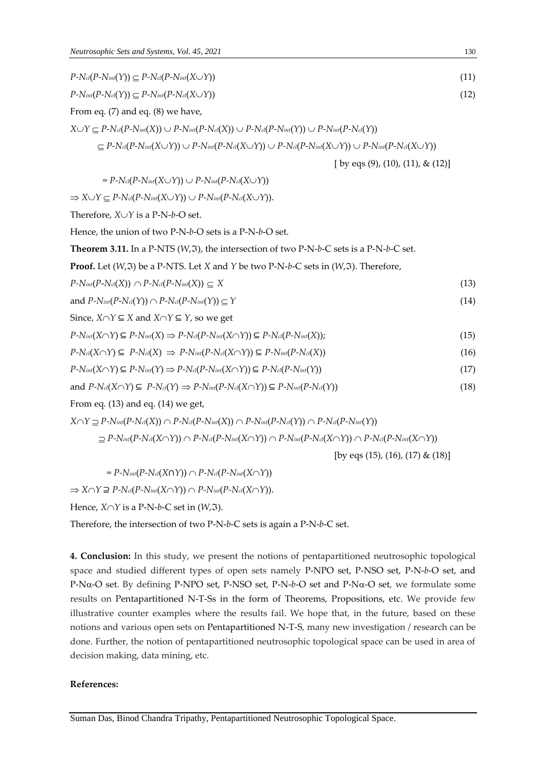$P\text{-}N_{\text{cl}}(P\text{-}N_{\text{int}}(\Upsilon)\subseteq P\text{-}N_{\text{cl}}(P\text{-}N_{\text{int}}(\Upsilon\vee\Upsilon))$  (11)

 $P-N$ *int*( $P-N$ *cl*(*Y*)) *<u>P-N<sup><i>int*</sup>(*P-Ncl*(*XV*))</sub> (12)</u>

From eq. (7) and eq. (8) we have,

 $X \cup Y \subseteq P-N_{cl}(P-N_{int}(X)) \cup P-N_{int}(P-N_{cl}(X)) \cup P-N_{cl}(P-N_{int}(Y)) \cup P-N_{int}(P-N_{cl}(Y))$ 

$$
\subseteq P\text{-}N_{\text{cl}}(P\text{-}N_{\text{int}}(X\cup Y))\cup P\text{-}N_{\text{int}}(P\text{-}N_{\text{cl}}(X\cup Y))\cup P\text{-}N_{\text{cl}}(P\text{-}N_{\text{int}}(X\cup Y))\cup P\text{-}N_{\text{int}}(P\text{-}N_{\text{cl}}(X\cup Y))
$$

[ by eqs (9), (10), (11), & (12)]

 $= P - N_{\text{cl}}(P - N_{\text{int}}(X \cup Y)) \cup P - N_{\text{int}}(P - N_{\text{cl}}(X \cup Y))$ 

 $\Rightarrow$   $X \cup Y \subset P$ - $N_{\text{cl}}(P \text{-} N_{\text{int}}(X \cup Y)) \cup P \text{-} N_{\text{int}}(P \text{-} N_{\text{cl}}(X \cup Y)).$ 

Therefore,  $X \cup Y$  is a P-N-b-O set.

Hence, the union of two P-N-*b*-O sets is a P-N-*b*-O set.

**Theorem 3.11.** In a P-NTS  $(W,\mathcal{F})$ , the intersection of two P-N-b-C sets is a P-N-b-C set.

**Proof.** Let  $(W, \Im)$  be a P-NTS. Let *X* and *Y* be two P-N-*b*-C sets in  $(W, \Im)$ . Therefore,

$$
P\text{-}N_{int}(P\text{-}N_{cl}(X)) \cap P\text{-}N_{cl}(P\text{-}N_{int}(X)) \subseteq X \tag{13}
$$

$$
\text{and } P\text{-}N_{int}(P\text{-}N_{cl}(Y)) \cap P\text{-}N_{cl}(P\text{-}N_{int}(Y)) \subseteq Y \tag{14}
$$

Since,  $X \cap Y \subseteq X$  and  $X \cap Y \subseteq Y$ , so we get

$$
P\text{-}N_{int}(X\cap Y)\subseteq P\text{-}N_{int}(X)\Rightarrow P\text{-}N_{cl}(P\text{-}N_{int}(X\cap Y))\subseteq P\text{-}N_{cl}(P\text{-}N_{int}(X));\tag{15}
$$

$$
P\text{-}N_{cl}(X\cap Y)\subseteq P\text{-}N_{cl}(X)\implies P\text{-}N_{int}(P\text{-}N_{cl}(X\cap Y))\subseteq P\text{-}N_{int}(P\text{-}N_{cl}(X))
$$
\n
$$
(16)
$$

$$
P\text{-}\mathrm{N}_{int}(X \cap Y) \subseteq P\text{-}\mathrm{N}_{int}(Y) \Rightarrow P\text{-}\mathrm{N}_{cl}(P\text{-}\mathrm{N}_{int}(X \cap Y)) \subseteq P\text{-}\mathrm{N}_{cl}(P\text{-}\mathrm{N}_{int}(Y))
$$
\n
$$
\tag{17}
$$

and 
$$
P\text{-}N_{cl}(X\cap Y) \subseteq P\text{-}N_{cl}(Y) \Rightarrow P\text{-}N_{int}(P\text{-}N_{cl}(X\cap Y)) \subseteq P\text{-}N_{int}(P\text{-}N_{cl}(Y))
$$
 (18)

From eq. (13) and eq. (14) we get,

$$
X \cap Y \supseteq P\text{-}\text{N}_{int}(P\text{-}\text{N}_{cl}(X)) \cap P\text{-}\text{N}_{cl}(P\text{-}\text{N}_{int}(X)) \cap P\text{-}\text{N}_{int}(P\text{-}\text{N}_{cl}(Y)) \cap P\text{-}\text{N}_{cl}(P\text{-}\text{N}_{int}(Y))
$$
  
\n
$$
\supseteq P\text{-}\text{N}_{int}(P\text{-}\text{N}_{cl}(X \cap Y)) \cap P\text{-}\text{N}_{cl}(P\text{-}\text{N}_{int}(X \cap Y)) \cap P\text{-}\text{N}_{int}(P\text{-}\text{N}_{cl}(X \cap Y)) \cap P\text{-}\text{N}_{cl}(P\text{-}\text{N}_{int}(X \cap Y))
$$
  
\n[by eqs (15), (16), (17) & (18)]

 $= P - N_{int}(P - N_{cl}(X \cap Y)) \cap P - N_{cl}(P - N_{int}(X \cap Y))$ 

 $\Rightarrow$  *X*∩*Y* ⊇ *P-N*<sup>*cl*</sup>(*P-N*<sup>*int*</sup>(*X*∩*Y*)) ∩ *P-N*<sup>*int*</sup>(*P-N*<sup>*cl*</sup>(*X*∩*Y*)).

Hence,  $X \cap Y$  is a P-N-b-C set in  $(W, \mathfrak{I})$ .

Therefore, the intersection of two P-N-*b*-C sets is again a P-N-*b*-C set.

**4. Conclusion:** In this study, we present the notions of pentapartitioned neutrosophic topological space and studied different types of open sets namely P-NPO set, P-NSO set, P-N-*b*-O set, and P-N $\alpha$ -O set. By defining P-NPO set, P-NSO set, P-N-b-O set and P-N $\alpha$ -O set, we formulate some results on Pentapartitioned N-T-Ss in the form of Theorems, Propositions, etc. We provide few illustrative counter examples where the results fail. We hope that, in the future, based on these notions and various open sets on Pentapartitioned N-T-S, many new investigation / research can be done. Further, the notion of pentapartitioned neutrosophic topological space can be used in area of decision making, data mining, etc.

#### **References:**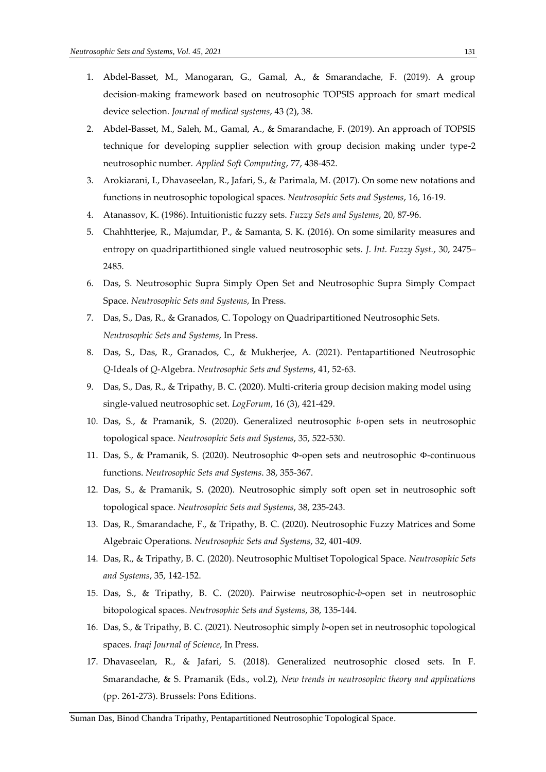- 1. Abdel-Basset, M., Manogaran, G., Gamal, A., & Smarandache, F. (2019). A group decision-making framework based on neutrosophic TOPSIS approach for smart medical device selection. *Journal of medical systems*, 43 (2), 38.
- 2. Abdel-Basset, M., Saleh, M., Gamal, A., & Smarandache, F. (2019). An approach of TOPSIS technique for developing supplier selection with group decision making under type-2 neutrosophic number. *Applied Soft Computing*, 77, 438-452.
- 3. Arokiarani, I., Dhavaseelan, R., Jafari, S., & Parimala, M. (2017). On some new notations and functions in neutrosophic topological spaces. *Neutrosophic Sets and Systems*, 16, 16-19.
- 4. Atanassov, K. (1986). Intuitionistic fuzzy sets. *Fuzzy Sets and Systems*, 20, 87-96.
- 5. Chahhtterjee, R., Majumdar, P., & Samanta, S. K. (2016). On some similarity measures and entropy on quadripartithioned single valued neutrosophic sets. *J. Int. Fuzzy Syst.*, 30, 2475– 2485.
- 6. Das, S. Neutrosophic Supra Simply Open Set and Neutrosophic Supra Simply Compact Space. *Neutrosophic Sets and Systems*, In Press.
- 7. Das, S., Das, R., & Granados, C. Topology on Quadripartitioned Neutrosophic Sets. *Neutrosophic Sets and Systems*, In Press.
- 8. Das, S., Das, R., Granados, C., & Mukherjee, A. (2021). Pentapartitioned Neutrosophic *Q*-Ideals of *Q*-Algebra. *Neutrosophic Sets and Systems*, 41, 52-63.
- 9. Das, S., Das, R., & Tripathy, B. C. (2020). Multi-criteria group decision making model using single-valued neutrosophic set. *LogForum*, 16 (3), 421-429.
- 10. Das, S., & Pramanik, S. (2020). Generalized neutrosophic *b*-open sets in neutrosophic topological space. *Neutrosophic Sets and Systems*, 35, 522-530.
- 11. Das, S., & Pramanik, S. (2020). Neutrosophic Φ-open sets and neutrosophic Φ-continuous functions. *Neutrosophic Sets and Systems*. 38, 355-367.
- 12. Das, S., & Pramanik, S. (2020). Neutrosophic simply soft open set in neutrosophic soft topological space. *Neutrosophic Sets and Systems*, 38, 235-243.
- 13. Das, R., Smarandache, F., & Tripathy, B. C. (2020). Neutrosophic Fuzzy Matrices and Some Algebraic Operations. *Neutrosophic Sets and Systems*, 32, 401-409.
- 14. Das, R., & Tripathy, B. C. (2020). Neutrosophic Multiset Topological Space. *Neutrosophic Sets and Systems*, 35, 142-152.
- 15. Das, S., & Tripathy, B. C. (2020). Pairwise neutrosophic-*b*-open set in neutrosophic bitopological spaces. *Neutrosophic Sets and Systems*, 38, 135-144.
- 16. Das, S., & Tripathy, B. C. (2021). Neutrosophic simply *b*-open set in neutrosophic topological spaces. *Iraqi Journal of Science*, In Press.
- 17. Dhavaseelan, R., & Jafari, S. (2018). Generalized neutrosophic closed sets. In F. Smarandache, & S. Pramanik (Eds., vol.2), *New trends in neutrosophic theory and applications* (pp. 261-273). Brussels: Pons Editions.